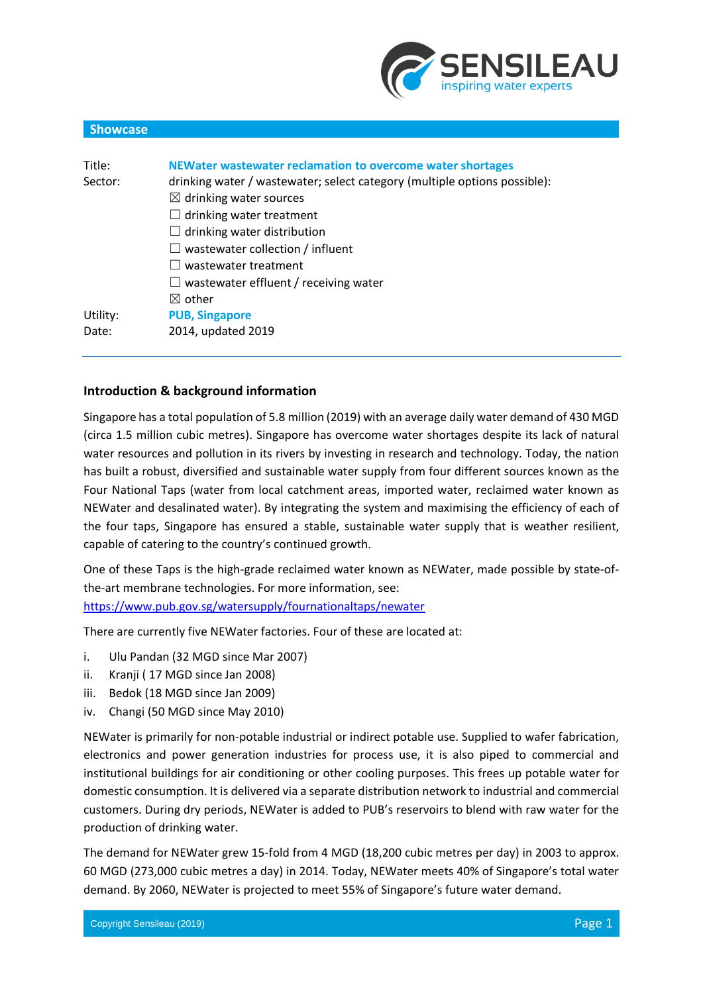

# Title: **NEWater wastewater reclamation to overcome water shortages** Sector: drinking water / wastewater; select category (multiple options possible):  $\boxtimes$  drinking water sources  $\Box$  drinking water treatment  $\Box$  drinking water distribution  $\Box$  wastewater collection / influent ☐ wastewater treatment  $\Box$  wastewater effluent / receiving water ☒ other Utility: **PUB, Singapore** Date: 2014, updated 2019

## **Introduction & background information**

**Showcase**

Singapore has a total population of 5.8 million (2019) with an average daily water demand of 430 MGD (circa 1.5 million cubic metres). Singapore has overcome water shortages despite its lack of natural water resources and pollution in its rivers by investing in research and technology. Today, the nation has built a robust, diversified and sustainable water supply from four different sources known as the Four National Taps (water from local catchment areas, imported water, reclaimed water known as NEWater and desalinated water). By integrating the system and maximising the efficiency of each of the four taps, Singapore has ensured a stable, sustainable water supply that is weather resilient, capable of catering to the country's continued growth.

One of these Taps is the high-grade reclaimed water known as NEWater, made possible by state-ofthe-art membrane technologies. For more information, see: <https://www.pub.gov.sg/watersupply/fournationaltaps/newater>

There are currently five NEWater factories. Four of these are located at:

- i. Ulu Pandan (32 MGD since Mar 2007)
- ii. Kranji ( 17 MGD since Jan 2008)
- iii. Bedok (18 MGD since Jan 2009)
- iv. Changi (50 MGD since May 2010)

NEWater is primarily for non-potable industrial or indirect potable use. Supplied to wafer fabrication, electronics and power generation industries for process use, it is also piped to commercial and institutional buildings for air conditioning or other cooling purposes. This frees up potable water for domestic consumption. It is delivered via a separate distribution network to industrial and commercial customers. During dry periods, NEWater is added to PUB's reservoirs to blend with raw water for the production of drinking water.

The demand for NEWater grew 15-fold from 4 MGD (18,200 cubic metres per day) in 2003 to approx. 60 MGD (273,000 cubic metres a day) in 2014. Today, NEWater meets 40% of Singapore's total water demand. By 2060, NEWater is projected to meet 55% of Singapore's future water demand.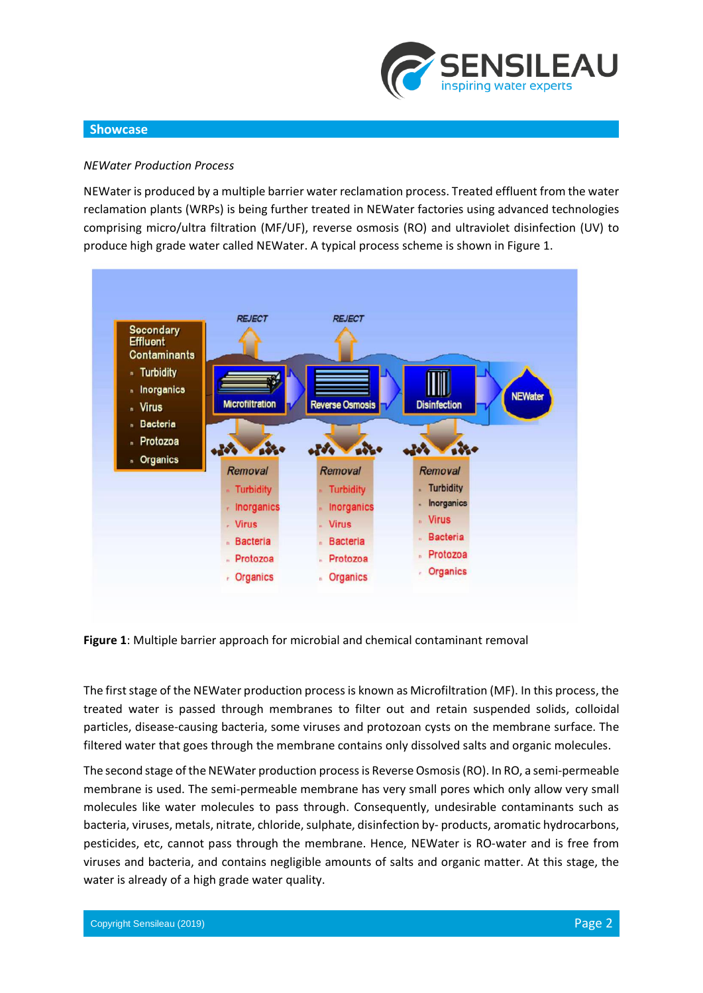

#### *NEWater Production Process*

NEWater is produced by a multiple barrier water reclamation process. Treated effluent from the water reclamation plants (WRPs) is being further treated in NEWater factories using advanced technologies comprising micro/ultra filtration (MF/UF), reverse osmosis (RO) and ultraviolet disinfection (UV) to produce high grade water called NEWater. A typical process scheme is shown in Figure 1.



**Figure 1**: Multiple barrier approach for microbial and chemical contaminant removal

The first stage of the NEWater production process is known as Microfiltration (MF). In this process, the treated water is passed through membranes to filter out and retain suspended solids, colloidal particles, disease-causing bacteria, some viruses and protozoan cysts on the membrane surface. The filtered water that goes through the membrane contains only dissolved salts and organic molecules.

The second stage of the NEWater production process is Reverse Osmosis (RO). In RO, a semi-permeable membrane is used. The semi-permeable membrane has very small pores which only allow very small molecules like water molecules to pass through. Consequently, undesirable contaminants such as bacteria, viruses, metals, nitrate, chloride, sulphate, disinfection by- products, aromatic hydrocarbons, pesticides, etc, cannot pass through the membrane. Hence, NEWater is RO-water and is free from viruses and bacteria, and contains negligible amounts of salts and organic matter. At this stage, the water is already of a high grade water quality.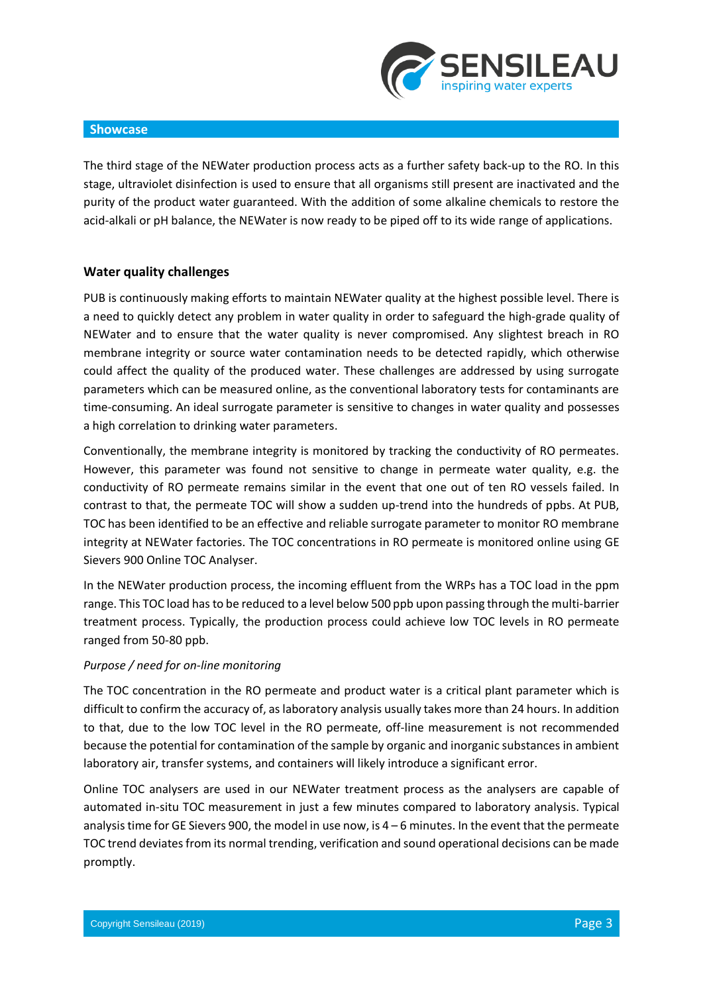

The third stage of the NEWater production process acts as a further safety back-up to the RO. In this stage, ultraviolet disinfection is used to ensure that all organisms still present are inactivated and the purity of the product water guaranteed. With the addition of some alkaline chemicals to restore the acid-alkali or pH balance, the NEWater is now ready to be piped off to its wide range of applications.

#### **Water quality challenges**

PUB is continuously making efforts to maintain NEWater quality at the highest possible level. There is a need to quickly detect any problem in water quality in order to safeguard the high-grade quality of NEWater and to ensure that the water quality is never compromised. Any slightest breach in RO membrane integrity or source water contamination needs to be detected rapidly, which otherwise could affect the quality of the produced water. These challenges are addressed by using surrogate parameters which can be measured online, as the conventional laboratory tests for contaminants are time-consuming. An ideal surrogate parameter is sensitive to changes in water quality and possesses a high correlation to drinking water parameters.

Conventionally, the membrane integrity is monitored by tracking the conductivity of RO permeates. However, this parameter was found not sensitive to change in permeate water quality, e.g. the conductivity of RO permeate remains similar in the event that one out of ten RO vessels failed. In contrast to that, the permeate TOC will show a sudden up-trend into the hundreds of ppbs. At PUB, TOC has been identified to be an effective and reliable surrogate parameter to monitor RO membrane integrity at NEWater factories. The TOC concentrations in RO permeate is monitored online using GE Sievers 900 Online TOC Analyser.

In the NEWater production process, the incoming effluent from the WRPs has a TOC load in the ppm range. This TOC load hasto be reduced to a level below 500 ppb upon passing through the multi-barrier treatment process. Typically, the production process could achieve low TOC levels in RO permeate ranged from 50-80 ppb.

#### *Purpose / need for on-line monitoring*

The TOC concentration in the RO permeate and product water is a critical plant parameter which is difficult to confirm the accuracy of, aslaboratory analysis usually takes more than 24 hours. In addition to that, due to the low TOC level in the RO permeate, off-line measurement is not recommended because the potential for contamination of the sample by organic and inorganic substances in ambient laboratory air, transfer systems, and containers will likely introduce a significant error.

Online TOC analysers are used in our NEWater treatment process as the analysers are capable of automated in-situ TOC measurement in just a few minutes compared to laboratory analysis. Typical analysis time for GE Sievers 900, the model in use now, is  $4 - 6$  minutes. In the event that the permeate TOC trend deviates from its normal trending, verification and sound operational decisions can be made promptly.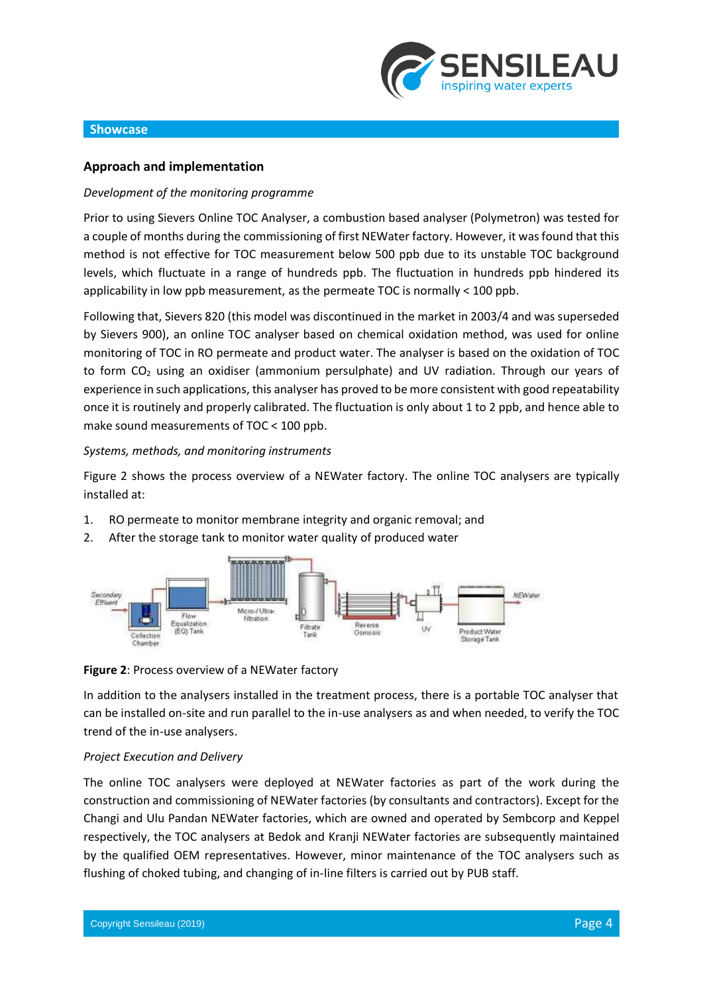

#### **Approach and implementation**

#### *Development of the monitoring programme*

Prior to using Sievers Online TOC Analyser, a combustion based analyser (Polymetron) was tested for a couple of months during the commissioning of first NEWater factory. However, it wasfound that this method is not effective for TOC measurement below 500 ppb due to its unstable TOC background levels, which fluctuate in a range of hundreds ppb. The fluctuation in hundreds ppb hindered its applicability in low ppb measurement, as the permeate TOC is normally < 100 ppb.

Following that, Sievers 820 (this model was discontinued in the market in 2003/4 and was superseded by Sievers 900), an online TOC analyser based on chemical oxidation method, was used for online monitoring of TOC in RO permeate and product water. The analyser is based on the oxidation of TOC to form  $CO<sub>2</sub>$  using an oxidiser (ammonium persulphate) and UV radiation. Through our years of experience in such applications, this analyser has proved to be more consistent with good repeatability once it is routinely and properly calibrated. The fluctuation is only about 1 to 2 ppb, and hence able to make sound measurements of TOC < 100 ppb.

#### *Systems, methods, and monitoring instruments*

Figure 2 shows the process overview of a NEWater factory. The online TOC analysers are typically installed at:

- 1. RO permeate to monitor membrane integrity and organic removal; and
- 2. After the storage tank to monitor water quality of produced water



#### **Figure 2**: Process overview of a NEWater factory

In addition to the analysers installed in the treatment process, there is a portable TOC analyser that can be installed on-site and run parallel to the in-use analysers as and when needed, to verify the TOC trend of the in-use analysers.

#### *Project Execution and Delivery*

The online TOC analysers were deployed at NEWater factories as part of the work during the construction and commissioning of NEWater factories (by consultants and contractors). Except for the Changi and Ulu Pandan NEWater factories, which are owned and operated by Sembcorp and Keppel respectively, the TOC analysers at Bedok and Kranji NEWater factories are subsequently maintained by the qualified OEM representatives. However, minor maintenance of the TOC analysers such as flushing of choked tubing, and changing of in-line filters is carried out by PUB staff.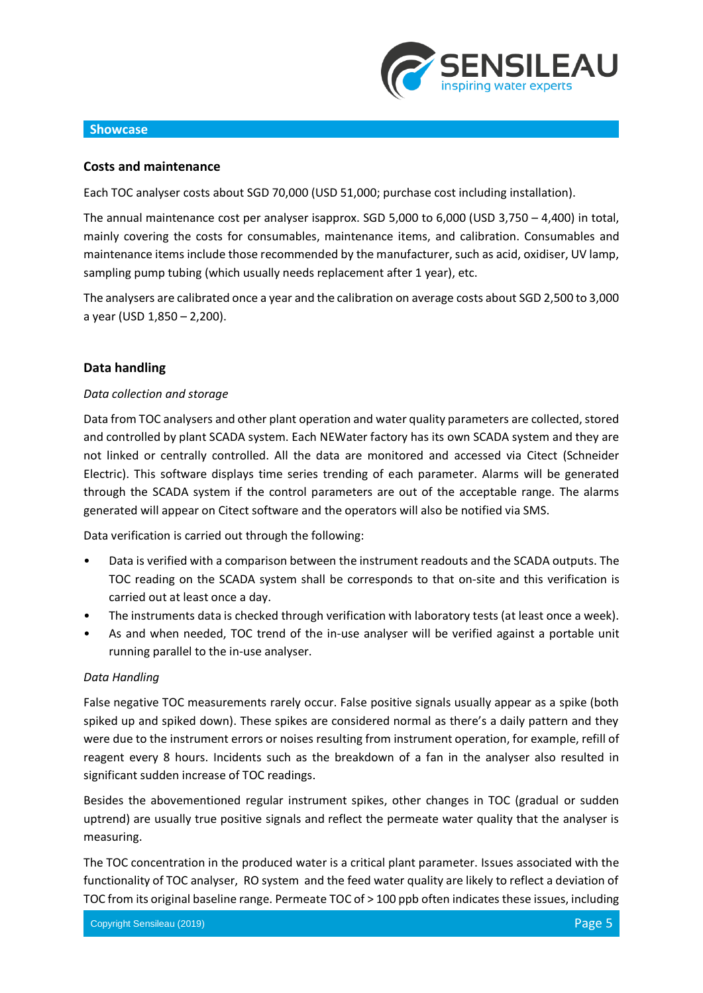

## **Costs and maintenance**

Each TOC analyser costs about SGD 70,000 (USD 51,000; purchase cost including installation).

The annual maintenance cost per analyser isapprox. SGD 5,000 to 6,000 (USD 3,750 – 4,400) in total, mainly covering the costs for consumables, maintenance items, and calibration. Consumables and maintenance items include those recommended by the manufacturer, such as acid, oxidiser, UV lamp, sampling pump tubing (which usually needs replacement after 1 year), etc.

The analysers are calibrated once a year and the calibration on average costs about SGD 2,500 to 3,000 a year (USD 1,850 – 2,200).

# **Data handling**

## *Data collection and storage*

Data from TOC analysers and other plant operation and water quality parameters are collected, stored and controlled by plant SCADA system. Each NEWater factory has its own SCADA system and they are not linked or centrally controlled. All the data are monitored and accessed via Citect (Schneider Electric). This software displays time series trending of each parameter. Alarms will be generated through the SCADA system if the control parameters are out of the acceptable range. The alarms generated will appear on Citect software and the operators will also be notified via SMS.

Data verification is carried out through the following:

- Data is verified with a comparison between the instrument readouts and the SCADA outputs. The TOC reading on the SCADA system shall be corresponds to that on-site and this verification is carried out at least once a day.
- The instruments data is checked through verification with laboratory tests (at least once a week).
- As and when needed, TOC trend of the in-use analyser will be verified against a portable unit running parallel to the in-use analyser.

#### *Data Handling*

False negative TOC measurements rarely occur. False positive signals usually appear as a spike (both spiked up and spiked down). These spikes are considered normal as there's a daily pattern and they were due to the instrument errors or noises resulting from instrument operation, for example, refill of reagent every 8 hours. Incidents such as the breakdown of a fan in the analyser also resulted in significant sudden increase of TOC readings.

Besides the abovementioned regular instrument spikes, other changes in TOC (gradual or sudden uptrend) are usually true positive signals and reflect the permeate water quality that the analyser is measuring.

The TOC concentration in the produced water is a critical plant parameter. Issues associated with the functionality of TOC analyser, RO system and the feed water quality are likely to reflect a deviation of TOC from its original baseline range. Permeate TOC of > 100 ppb often indicates these issues, including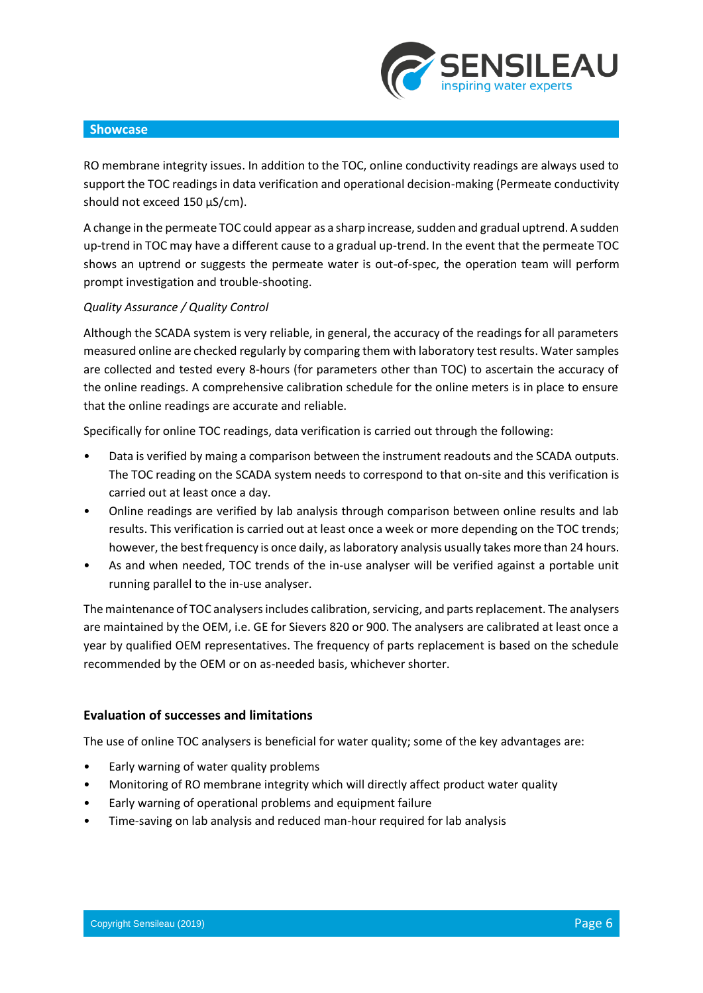

RO membrane integrity issues. In addition to the TOC, online conductivity readings are always used to support the TOC readings in data verification and operational decision-making (Permeate conductivity should not exceed 150 μS/cm).

A change in the permeate TOC could appear as a sharp increase, sudden and gradual uptrend. A sudden up-trend in TOC may have a different cause to a gradual up-trend. In the event that the permeate TOC shows an uptrend or suggests the permeate water is out-of-spec, the operation team will perform prompt investigation and trouble-shooting.

## *Quality Assurance / Quality Control*

Although the SCADA system is very reliable, in general, the accuracy of the readings for all parameters measured online are checked regularly by comparing them with laboratory test results. Water samples are collected and tested every 8-hours (for parameters other than TOC) to ascertain the accuracy of the online readings. A comprehensive calibration schedule for the online meters is in place to ensure that the online readings are accurate and reliable.

Specifically for online TOC readings, data verification is carried out through the following:

- Data is verified by maing a comparison between the instrument readouts and the SCADA outputs. The TOC reading on the SCADA system needs to correspond to that on-site and this verification is carried out at least once a day.
- Online readings are verified by lab analysis through comparison between online results and lab results. This verification is carried out at least once a week or more depending on the TOC trends; however, the best frequency is once daily, as laboratory analysis usually takes more than 24 hours.
- As and when needed, TOC trends of the in-use analyser will be verified against a portable unit running parallel to the in-use analyser.

Themaintenance of TOC analysersincludes calibration, servicing, and parts replacement. The analysers are maintained by the OEM, i.e. GE for Sievers 820 or 900. The analysers are calibrated at least once a year by qualified OEM representatives. The frequency of parts replacement is based on the schedule recommended by the OEM or on as-needed basis, whichever shorter.

# **Evaluation of successes and limitations**

The use of online TOC analysers is beneficial for water quality; some of the key advantages are:

- Early warning of water quality problems
- Monitoring of RO membrane integrity which will directly affect product water quality
- Early warning of operational problems and equipment failure
- Time-saving on lab analysis and reduced man-hour required for lab analysis